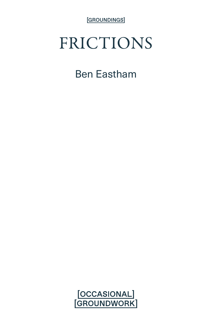[GROUNDINGS]

## FRICTIONS

## Ben Eastham

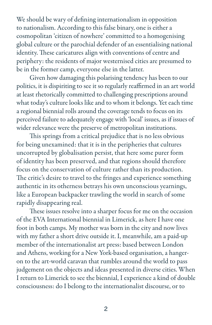We should be wary of defining internationalism in opposition to nationalism. According to this false binary, one is either a cosmopolitan 'citizen of nowhere' committed to a homogenising global culture or the parochial defender of an essentialising national identity. These caricatures align with conventions of centre and periphery: the residents of major westernised cities are presumed to be in the former camp, everyone else in the latter.

Given how damaging this polarising tendency has been to our politics, it is dispiriting to see it so regularly reaffirmed in an art world at least rhetorically committed to challenging prescriptions around what today's culture looks like and to whom it belongs. Yet each time a regional biennial rolls around the coverage tends to focus on its perceived failure to adequately engage with 'local' issues, as if issues of wider relevance were the preserve of metropolitan institutions.

This springs from a critical prejudice that is no less obvious for being unexamined: that it is in the peripheries that cultures uncorrupted by globalisation persist, that here some purer form of identity has been preserved, and that regions should therefore focus on the conservation of culture rather than its production. The critic's desire to travel to the fringes and experience something authentic in its otherness betrays his own unconscious yearnings, like a European backpacker trawling the world in search of some rapidly disappearing real.

These issues resolve into a sharper focus for me on the occasion of the EVA International biennial in Limerick, as here I have one foot in both camps. My mother was born in the city and now lives with my father a short drive outside it. I, meanwhile, am a paid-up member of the internationalist art press: based between London and Athens, working for a New York-based organisation, a hangeron to the art-world caravan that rumbles around the world to pass judgement on the objects and ideas presented in diverse cities. When I return to Limerick to see the biennial, I experience a kind of double consciousness: do I belong to the internationalist discourse, or to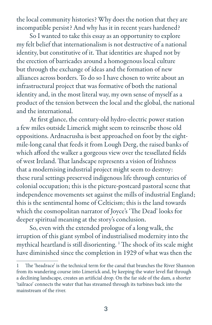the local community histories? Why does the notion that they are incompatible persist? And why has it in recent years hardened?

So I wanted to take this essay as an opportunity to explore my felt belief that internationalism is not destructive of a national identity, but constitutive of it. That identities are shaped not by the erection of barricades around a homogenous local culture but through the exchange of ideas and the formation of new alliances across borders. To do so I have chosen to write about an infrastructural project that was formative of both the national identity and, in the most literal way, my own sense of myself as a product of the tension between the local and the global, the national and the international.

At first glance, the century-old hydro-electric power station a few miles outside Limerick might seem to reinscribe those old oppositions. Ardnacrusha is best approached on foot by the eightmile-long canal that feeds it from Lough Derg, the raised banks of which afford the walker a gorgeous view over the tessellated fields of west Ireland. That landscape represents a vision of Irishness that a modernising industrial project might seem to destroy: these rural settings preserved indigenous life through centuries of colonial occupation; this is the picture-postcard pastoral scene that independence movements set against the mills of industrial England; this is the sentimental home of Celticism; this is the land towards which the cosmopolitan narrator of Joyce's 'The Dead' looks for deeper spiritual meaning at the story's conclusion.

So, even with the extended prologue of a long walk, the irruption of this giant symbol of industrialised modernity into the mythical heartland is still disorienting. 1 The shock of its scale might have diminished since the completion in 1929 of what was then the

<sup>1</sup> The 'headrace' is the technical term for the canal that branches the River Shannon from its wandering course into Limerick and, by keeping the water level flat through a declining landscape, creates an artificial drop. On the far side of the dam, a shorter 'tailrace' connects the water that has streamed through its turbines back into the mainstream of the river.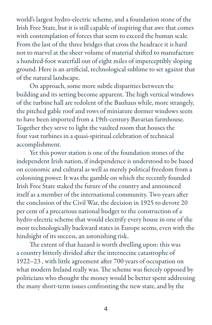world's largest hydro-electric scheme, and a foundation stone of the Irish Free State, but it is still capable of inspiring that awe that comes with contemplation of forces that seem to exceed the human scale. From the last of the three bridges that cross the headrace it is hard not to marvel at the sheer volume of material shifted to manufacture a hundred-foot waterfall out of eight miles of imperceptibly sloping ground. Here is an artificial, technological sublime to set against that of the natural landscape.

On approach, some more subtle disparities between the building and its setting become apparent. The high vertical windows of the turbine hall are redolent of the Bauhaus while, more strangely, the pitched gable roof and rows of miniature dormer windows seem to have been imported from a 19th-century Bavarian farmhouse. Together they serve to light the vaulted room that houses the four vast turbines in a quasi-spiritual celebration of technical accomplishment.

Yet this power station is one of the foundation stones of the independent Irish nation, if independence is understood to be based on economic and cultural as well as merely political freedom from a colonising power. It was the gamble on which the recently founded Irish Free State staked the future of the country and announced itself as a member of the international community. Two years after the conclusion of the Civil War, the decision in 1925 to devote 20 per cent of a precarious national budget to the construction of a hydro-electric scheme that would electrify every house in one of the most technologically backward states in Europe seems, even with the hindsight of its success, an astonishing risk.

The extent of that hazard is worth dwelling upon: this was a country bitterly divided after the internecine catastrophe of 1922–23 , with little agreement after 700 years of occupation on what modern Ireland really was. The scheme was fiercely opposed by politicians who thought the money would be better spent addressing the many short-term issues confronting the new state, and by the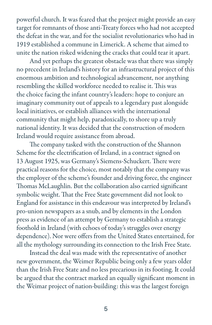powerful church. It was feared that the project might provide an easy target for remnants of those anti-Treaty forces who had not accepted the defeat in the war, and for the socialist revolutionaries who had in 1919 established a commune in Limerick. A scheme that aimed to unite the nation risked widening the cracks that could tear it apart.

And yet perhaps the greatest obstacle was that there was simply no precedent in Ireland's history for an infrastructural project of this enormous ambition and technological advancement, nor anything resembling the skilled workforce needed to realise it. This was the choice facing the infant country's leaders: hope to conjure an imaginary community out of appeals to a legendary past alongside local initiatives, or establish alliances with the international community that might help, paradoxically, to shore up a truly national identity. It was decided that the construction of modern Ireland would require assistance from abroad.

The company tasked with the construction of the Shannon Scheme for the electrification of Ireland, in a contract signed on 13 August 1925, was Germany's Siemens-Schuckert. There were practical reasons for the choice, most notably that the company was the employer of the scheme's founder and driving force, the engineer Thomas McLaughlin. But the collaboration also carried significant symbolic weight. That the Free State government did not look to England for assistance in this endeavour was interpreted by Ireland's pro-union newspapers as a snub, and by elements in the London press as evidence of an attempt by Germany to establish a strategic foothold in Ireland (with echoes of today's struggles over energy dependence). Nor were offers from the United States entertained, for all the mythology surrounding its connection to the Irish Free State.

Instead the deal was made with the representative of another new government, the Weimer Republic being only a few years older than the Irish Free State and no less precarious in its footing. It could be argued that the contract marked an equally significant moment in the Weimar project of nation-building: this was the largest foreign

5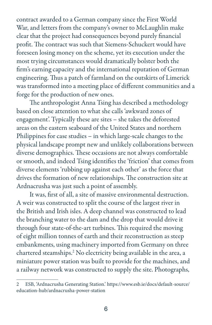contract awarded to a German company since the First World War, and letters from the company's owner to McLaughlin make clear that the project had consequences beyond purely financial profit. The contract was such that Siemens-Schuckert would have foreseen losing money on the scheme, yet its execution under the most trying circumstances would dramatically bolster both the firm's earning capacity and the international reputation of German engineering. Thus a patch of farmland on the outskirts of Limerick was transformed into a meeting place of different communities and a forge for the production of new ones.

The anthropologist Anna Tsing has described a methodology based on close attention to what she calls 'awkward zones of engagement'. Typically these are sites – she takes the deforested areas on the eastern seaboard of the United States and northern Philippines for case studies – in which large-scale changes to the physical landscape prompt new and unlikely collaborations between diverse demographics. These occasions are not always comfortable or smooth, and indeed Tsing identifies the 'friction' that comes from diverse elements 'rubbing up against each other' as the force that drives the formation of new relationships. The construction site at Ardnacrusha was just such a point of assembly.

It was, first of all, a site of massive environmental destruction. A weir was constructed to split the course of the largest river in the British and Irish isles. A deep channel was constructed to lead the branching water to the dam and the drop that would drive it through four state-of-the-art turbines. This required the moving of eight million tonnes of earth and their reconstruction as steep embankments, using machinery imported from Germany on three chartered steamships.2 No electricity being available in the area, a miniature power station was built to provide for the machines, and a railway network was constructed to supply the site. Photographs,

<sup>2</sup> ESB, 'Ardnacrusha Generating Station.' https://www.esb.ie/docs/default-source/ education-hub/ardnacrusha-power-station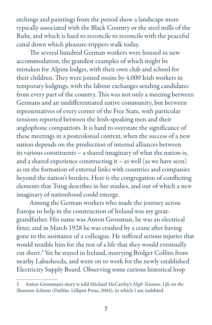etchings and paintings from the period show a landscape more typically associated with the Black Country or the steel mills of the Ruhr, and which is hard to reconcile to reconcile with the peaceful canal down which pleasure-trippers walk today.

The several hundred German workers were housed in new accommodation, the grandest examples of which might be mistaken for Alpine lodges, with their own club and school for their children. They were joined onsite by 4,000 Irish workers in temporary lodgings, with the labour exchanges sending candidates from every part of the country. This was not only a meeting between Germans and an undifferentiated native community, but between representatives of every corner of the Free State, with particular tensions reported between the Irish-speaking men and their anglophone compatriots. It is hard to overstate the significance of these meetings in a postcolonial context, when the success of a new nation depends on the production of internal alliances between its various constituents – a shared imaginary of what the nation is, and a shared experience constructing it – as well (as we have seen) as on the formation of external links with countries and companies beyond the nation's borders. Here is the congregation of conflicting elements that Tsing describes in her studies, and out of which a new imaginary of nationhood could emerge.

Among the German workers who made the journey across Europe to help in the construction of Ireland was my greatgrandfather. His name was Anton Grossman, he was an electrical fitter, and in March 1928 he was crushed by a crane after having gone to the assistance of a colleague. He suffered serious injuries that would trouble him for the rest of a life that they would eventually cut short.3 Yet he stayed in Ireland, marrying Bridget Collins from nearby Labasheeda, and went on to work for the newly established Electricity Supply Board. Observing some curious historical loop

<sup>3</sup> Anton Grossman's story is told Michael McCarthy's *High Tension: Life on the Shannon Scheme* (Dublin: Lilliput Press, 2004), to which I am indebted.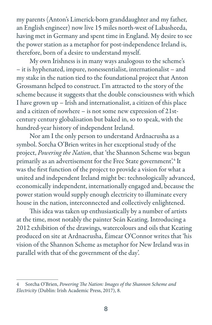my parents (Anton's Limerick-born granddaughter and my father, an English engineer) now live 15 miles north-west of Labasheeda, having met in Germany and spent time in England. My desire to see the power station as a metaphor for post-independence Ireland is, therefore, born of a desire to understand myself.

My own Irishness is in many ways analogous to the scheme's – it is hyphenated, impure, nonessentialist, internationalist – and my stake in the nation tied to the foundational project that Anton Grossmann helped to construct. I'm attracted to the story of the scheme because it suggests that the double consciousness with which I have grown up – Irish and internationalist, a citizen of this place and a citizen of nowhere – is not some new expression of 21stcentury century globalisation but baked in, so to speak, with the hundred-year history of independent Ireland.

Nor am I the only person to understand Ardnacrusha as a symbol. Sorcha O'Brien writes in her exceptional study of the project, *Powering the Nation*, that 'the Shannon Scheme was begun primarily as an advertisement for the Free State government'.<sup>4</sup> It was the first function of the project to provide a vision for what a united and independent Ireland might be: technologically advanced, economically independent, internationally engaged and, because the power station would supply enough electricity to illuminate every house in the nation, interconnected and collectively enlightened.

This idea was taken up enthusiastically by a number of artists at the time, most notably the painter Seán Keating. Introducing a 2012 exhibition of the drawings, watercolours and oils that Keating produced on site at Ardnacrusha, Éimear O'Connor writes that 'his vision of the Shannon Scheme as metaphor for New Ireland was in parallel with that of the government of the day'.

<sup>4</sup> Sorcha O'Brien, *Powering The Nation: Images of the Shannon Scheme and Electricity* (Dublin: Irish Academic Press, 2017), 8.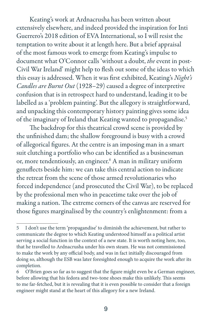Keating's work at Ardnacrusha has been written about extensively elsewhere, and indeed provided the inspiration for Inti Guerrero's 2018 edition of EVA International, so I will resist the temptation to write about it at length here. But a brief appraisal of the most famous work to emerge from Keating's impulse to document what O'Connor calls 'without a doubt, *the* event in post-Civil War Ireland' might help to flesh out some of the ideas to which this essay is addressed. When it was first exhibited, Keating's *Night's Candles are Burnt Out* (1928–29) caused a degree of interpretive confusion that is in retrospect hard to understand, leading it to be labelled as a 'problem painting'. But the allegory is straightforward, and unpacking this contemporary history painting gives some idea of the imaginary of Ireland that Keating wanted to propagandise.5

The backdrop for this theatrical crowd scene is provided by the unfinished dam; the shallow foreground is busy with a crowd of allegorical figures. At the centre is an imposing man in a smart suit clutching a portfolio who can be identified as a businessman or, more tendentiously, an engineer.<sup>6</sup> A man in military uniform genuflects beside him: we can take this central action to indicate the retreat from the scene of those armed revolutionaries who forced independence (and prosecuted the Civil War), to be replaced by the professional men who in peacetime take over the job of making a nation. The extreme corners of the canvas are reserved for those figures marginalised by the country's enlightenment: from a

<sup>5</sup> I don't use the term 'propagandise' to diminish the achievement, but rather to communicate the degree to which Keating understood himself as a political artist serving a social function in the context of a new state. It is worth noting here, too, that he travelled to Ardnacrusha under his own steam. He was not commissioned to make the work by any official body, and was in fact initially discouraged from doing so, although the ESB was later foresighted enough to acquire the work after its completion.

<sup>6</sup> O'Brien goes so far as to suggest that the figure might even be a German engineer, before allowing that his fedora and two-tone shoes make this unlikely. This seems to me far-fetched, but it is revealing that it is even possible to consider that a foreign engineer might stand at the heart of this allegory for a new Ireland.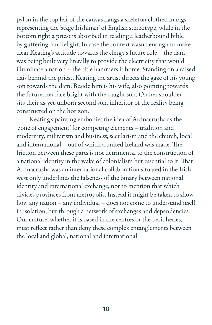pylon in the top left of the canvas hangs a skeleton clothed in rags representing the 'stage Irishman' of English stereotype, while in the bottom right a priest is absorbed in reading a leatherbound bible by guttering candlelight. In case the context wasn't enough to make clear Keating's attitude towards the clergy's future role – the dam was being built very literally to provide the electricity that would illuminate a nation – the title hammers it home. Standing on a raised dais behind the priest, Keating the artist directs the gaze of his young son towards the dam. Beside him is his wife, also pointing towards the future, her face bright with the caught sun. On her shoulder sits their as-yet-unborn second son, inheritor of the reality being constructed on the horizon.

Keating's painting embodies the idea of Ardnacrusha as the 'zone of engagement' for competing elements – tradition and modernity, militarism and business, secularism and the church, local and international – out of which a united Ireland was made. The friction between these parts is not detrimental to the construction of a national identity in the wake of colonialism but essential to it. That Ardnacrusha was an international collaboration situated in the Irish west only underlines the falseness of the binary between national identity and international exchange, not to mention that which divides provinces from metropolis. Instead it might be taken to show how any nation – any individual – does not come to understand itself in isolation, but through a network of exchanges and dependencies. Our culture, whether it is based in the centres or the peripheries, must reflect rather than deny these complex entanglements between the local and global, national and international.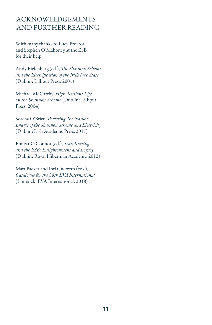## ACKNOWLEDGEMENTS AND FURTHER READING

With many thanks to Lucy Proctor and Stephen O'Mahoney at the ESB for their help.

Andy Bielenberg (ed.), *The Shannon Scheme and the Electrification of the Irish Free State* (Dublin: Lilliput Press, 2001)

Michael McCarthy, *High Tension: Life on the Shannon Scheme* (Dublin: Lilliput Press, 2004)

Sorcha O'Brien, *Powering The Nation: Images of the Shannon Scheme and Electricity* (Dublin: Irish Academic Press, 2017)

Éimear O'Connor (ed.), *Seán Keating and the ESB: Enlightenment and Legacy* (Dublin: Royal Hibernian Academy, 2012)

Matt Packer and Inti Guerrero (eds.), *Catalogue for the 38th EVA International*  (Limerick: EVA International, 2018)